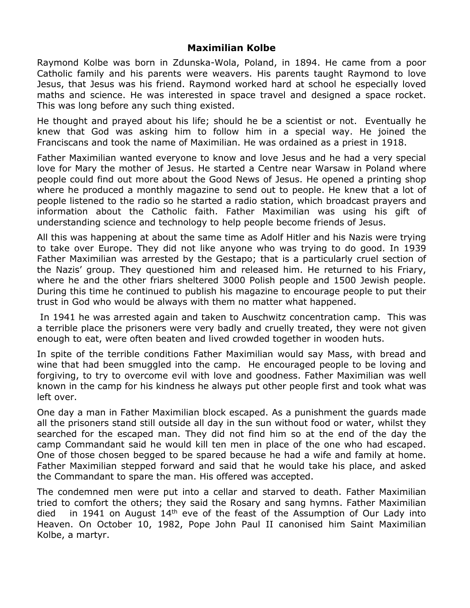## **Maximilian Kolbe**

Raymond Kolbe was born in Zdunska-Wola, Poland, in 1894. He came from a poor Catholic family and his parents were weavers. His parents taught Raymond to love Jesus, that Jesus was his friend. Raymond worked hard at school he especially loved maths and science. He was interested in space travel and designed a space rocket. This was long before any such thing existed.

He thought and prayed about his life; should he be a scientist or not. Eventually he knew that God was asking him to follow him in a special way. He joined the Franciscans and took the name of Maximilian. He was ordained as a priest in 1918.

Father Maximilian wanted everyone to know and love Jesus and he had a very special love for Mary the mother of Jesus. He started a Centre near Warsaw in Poland where people could find out more about the Good News of Jesus. He opened a printing shop where he produced a monthly magazine to send out to people. He knew that a lot of people listened to the radio so he started a radio station, which broadcast prayers and information about the Catholic faith. Father Maximilian was using his gift of understanding science and technology to help people become friends of Jesus.

All this was happening at about the same time as Adolf Hitler and his Nazis were trying to take over Europe. They did not like anyone who was trying to do good. In 1939 Father Maximilian was arrested by the Gestapo; that is a particularly cruel section of the Nazis' group. They questioned him and released him. He returned to his Friary, where he and the other friars sheltered 3000 Polish people and 1500 Jewish people. During this time he continued to publish his magazine to encourage people to put their trust in God who would be always with them no matter what happened.

In 1941 he was arrested again and taken to Auschwitz concentration camp. This was a terrible place the prisoners were very badly and cruelly treated, they were not given enough to eat, were often beaten and lived crowded together in wooden huts.

In spite of the terrible conditions Father Maximilian would say Mass, with bread and wine that had been smuggled into the camp. He encouraged people to be loving and forgiving, to try to overcome evil with love and goodness. Father Maximilian was well known in the camp for his kindness he always put other people first and took what was left over.

One day a man in Father Maximilian block escaped. As a punishment the guards made all the prisoners stand still outside all day in the sun without food or water, whilst they searched for the escaped man. They did not find him so at the end of the day the camp Commandant said he would kill ten men in place of the one who had escaped. One of those chosen begged to be spared because he had a wife and family at home. Father Maximilian stepped forward and said that he would take his place, and asked the Commandant to spare the man. His offered was accepted.

The condemned men were put into a cellar and starved to death. Father Maximilian tried to comfort the others; they said the Rosary and sang hymns. Father Maximilian died in 1941 on August  $14<sup>th</sup>$  eve of the feast of the Assumption of Our Lady into Heaven. On October 10, 1982, Pope John Paul II canonised him Saint Maximilian Kolbe, a martyr.